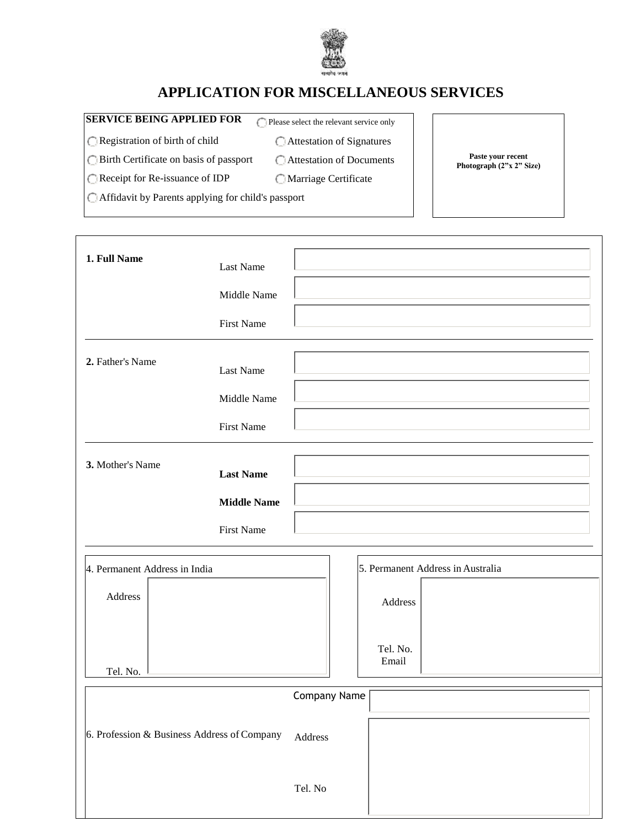

## **APPLICATION FOR MISCELLANEOUS SERVICES**

## **SERVICE BEING APPLIED FOR**  $\bigcap$  Please select the relevant service only

**Paste your recent Photograph (2"x 2" Size)**

Registration of birth of child

Attestation of Signatures Attestation of Documents

Birth Certificate on basis of passport

Marriage Certificate

Receipt for Re-issuance of IDP

Affidavit by Parents applying for child's passport

| 1. Full Name                                | Last Name          |                                   |
|---------------------------------------------|--------------------|-----------------------------------|
|                                             | Middle Name        |                                   |
|                                             | <b>First Name</b>  |                                   |
| 2. Father's Name                            | Last Name          |                                   |
|                                             | Middle Name        |                                   |
|                                             | <b>First Name</b>  |                                   |
| 3. Mother's Name                            | <b>Last Name</b>   |                                   |
|                                             | <b>Middle Name</b> |                                   |
|                                             | <b>First Name</b>  |                                   |
| 4. Permanent Address in India               |                    | 5. Permanent Address in Australia |
| Address                                     |                    | Address                           |
| Tel. No.                                    |                    | Tel. No.<br>Email                 |
|                                             |                    | Company Name                      |
| 6. Profession & Business Address of Company |                    | Address                           |
|                                             |                    | Tel. No                           |